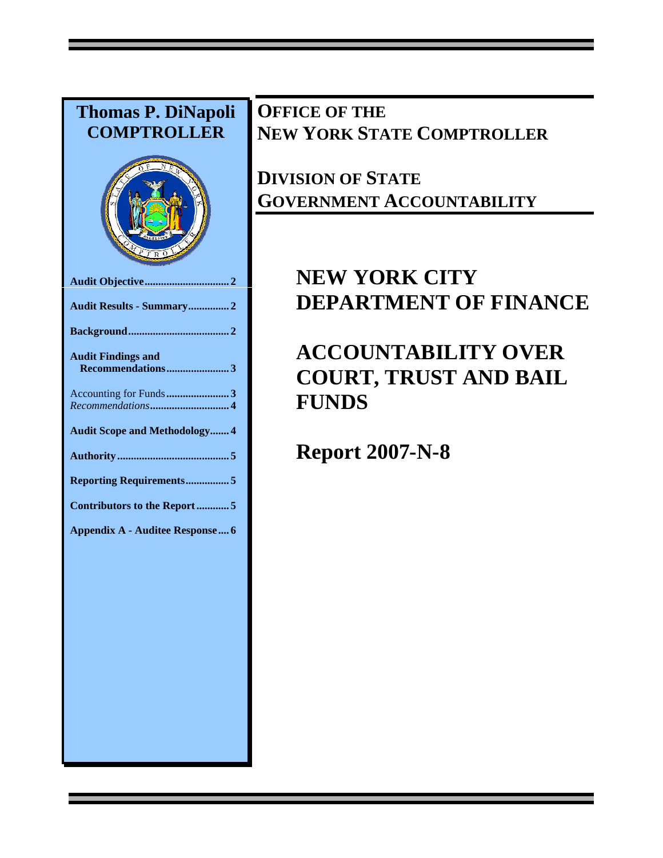# **Thomas P. DiNapoli COMPTROLLER Audit Objective............................... 2 Audit Results - Summary............... 2 Background..................................... 2 Audit Findings and Recommendations....................... 3**  Accounting for Funds**....................... 3**  *Recommendations***............................. 4 Audit Scope and Methodology....... 4 Authority ......................................... 5 Reporting Requirements................ 5 Contributors to the Report ............ 5 Appendix A - Auditee Response.... 6**

# **OFFICE OF THE NEW YORK STATE COMPTROLLER**

# **DIVISION OF STATE GOVERNMENT ACCOUNTABILITY**

# **NEW YORK CITY DEPARTMENT OF FINANCE**

# **ACCOUNTABILITY OVER COURT, TRUST AND BAIL FUNDS**

**Report 2007-N-8**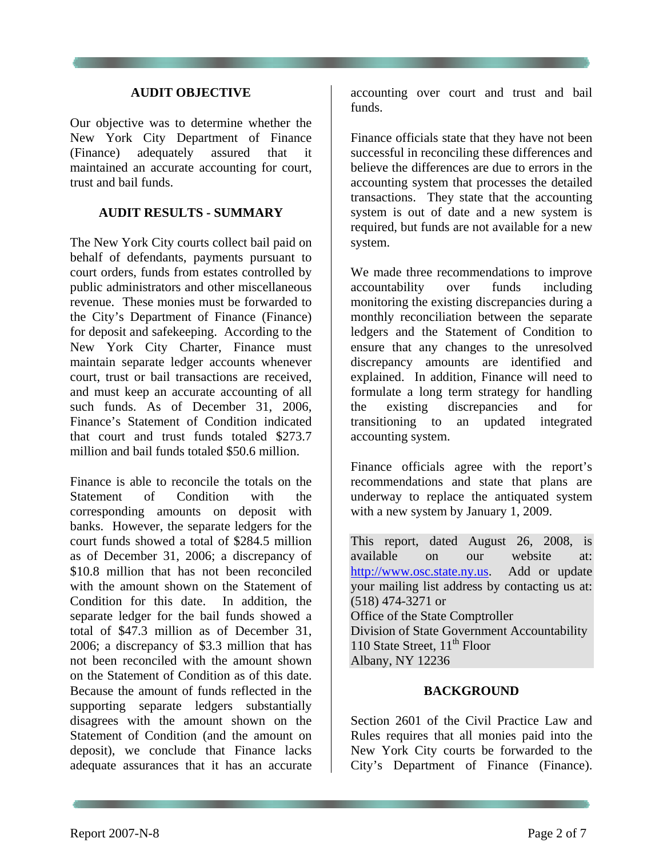### **AUDIT OBJECTIVE**

Our objective was to determine whether the New York City Department of Finance (Finance) adequately assured that maintained an accurate accounting for court, trust and bail funds.

#### **AUDIT RESULTS - SUMMARY**

The New York City courts collect bail paid on behalf of defendants, payments pursuant to court orders, funds from estates controlled by public administrators and other miscellaneous revenue. These monies must be forwarded to the City's Department of Finance (Finance) for deposit and safekeeping. According to the New York City Charter, Finance must maintain separate ledger accounts whenever court, trust or bail transactions are received, and must keep an accurate accounting of all such funds. As of December 31, 2006, Finance's Statement of Condition indicated that court and trust funds totaled \$273.7 million and bail funds totaled \$50.6 million.

Finance is able to reconcile the totals on the Statement of Condition with the corresponding amounts on deposit with banks. However, the separate ledgers for the court funds showed a total of \$284.5 million as of December 31, 2006; a discrepancy of \$10.8 million that has not been reconciled with the amount shown on the Statement of Condition for this date. In addition, the separate ledger for the bail funds showed a total of \$47.3 million as of December 31, 2006; a discrepancy of \$3.3 million that has not been reconciled with the amount shown on the Statement of Condition as of this date. Because the amount of funds reflected in the supporting separate ledgers substantially disagrees with the amount shown on the Statement of Condition (and the amount on deposit), we conclude that Finance lacks adequate assurances that it has an accurate

accounting over court and trust and bail funds.

Finance officials state that they have not been successful in reconciling these differences and believe the differences are due to errors in the accounting system that processes the detailed transactions. They state that the accounting system is out of date and a new system is required, but funds are not available for a new system.

We made three recommendations to improve accountability over funds including monitoring the existing discrepancies during a monthly reconciliation between the separate ledgers and the Statement of Condition to ensure that any changes to the unresolved discrepancy amounts are identified and explained. In addition, Finance will need to formulate a long term strategy for handling the existing discrepancies and for transitioning to an updated integrated accounting system.

Finance officials agree with the report's recommendations and state that plans are underway to replace the antiquated system with a new system by January 1, 2009.

This report, dated August 26, 2008, is available on our website at: http://www.osc.state.ny.us. Add or update your mailing list address by contacting us at: (518) 474-3271 or Office of the State Comptroller Division of State Government Accountability 110 State Street,  $11<sup>th</sup>$  Floor Albany, NY 12236

### **BACKGROUND**

Section 2601 of the Civil Practice Law and Rules requires that all monies paid into the New York City courts be forwarded to the City's Department of Finance (Finance).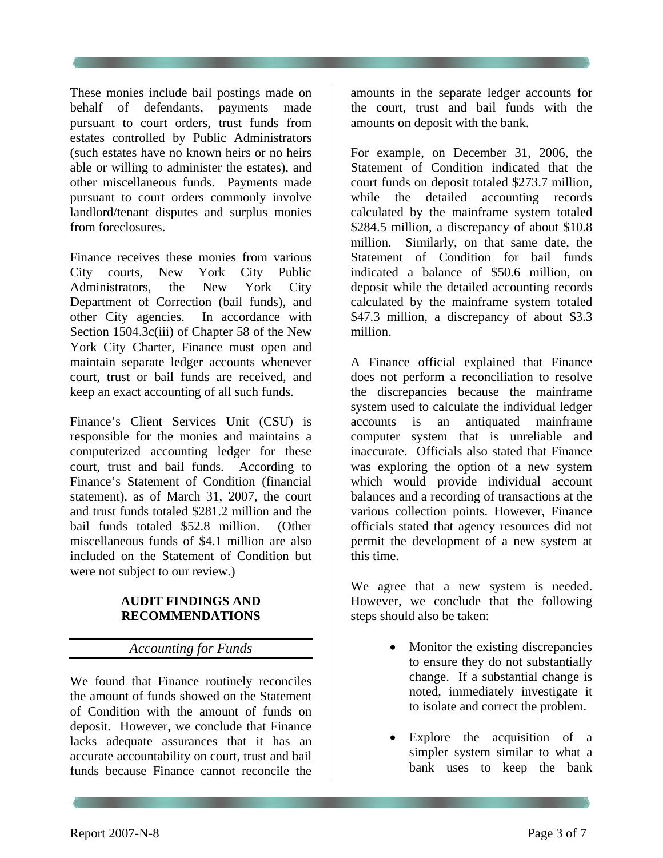These monies include bail postings made on behalf of defendants, payments made pursuant to court orders, trust funds from estates controlled by Public Administrators (such estates have no known heirs or no heirs able or willing to administer the estates), and other miscellaneous funds. Payments made pursuant to court orders commonly involve landlord/tenant disputes and surplus monies from foreclosures.

Finance receives these monies from various City courts, New York City Public Administrators, the New York City Department of Correction (bail funds), and other City agencies. In accordance with Section 1504.3c(iii) of Chapter 58 of the New York City Charter, Finance must open and maintain separate ledger accounts whenever court, trust or bail funds are received, and keep an exact accounting of all such funds.

Finance's Client Services Unit (CSU) is responsible for the monies and maintains a computerized accounting ledger for these court, trust and bail funds. According to Finance's Statement of Condition (financial statement), as of March 31, 2007, the court and trust funds totaled \$281.2 million and the bail funds totaled \$52.8 million. (Other miscellaneous funds of \$4.1 million are also included on the Statement of Condition but were not subject to our review.)

### **AUDIT FINDINGS AND RECOMMENDATIONS**

## *Accounting for Funds*

We found that Finance routinely reconciles the amount of funds showed on the Statement of Condition with the amount of funds on deposit. However, we conclude that Finance lacks adequate assurances that it has an accurate accountability on court, trust and bail funds because Finance cannot reconcile the

amounts in the separate ledger accounts for the court, trust and bail funds with the amounts on deposit with the bank.

For example, on December 31, 2006, the Statement of Condition indicated that the court funds on deposit totaled \$273.7 million, while the detailed accounting records calculated by the mainframe system totaled \$284.5 million, a discrepancy of about \$10.8 million. Similarly, on that same date, the Statement of Condition for bail funds indicated a balance of \$50.6 million, on deposit while the detailed accounting records calculated by the mainframe system totaled \$47.3 million, a discrepancy of about \$3.3 million.

A Finance official explained that Finance does not perform a reconciliation to resolve the discrepancies because the mainframe system used to calculate the individual ledger accounts is an antiquated mainframe computer system that is unreliable and inaccurate. Officials also stated that Finance was exploring the option of a new system which would provide individual account balances and a recording of transactions at the various collection points. However, Finance officials stated that agency resources did not permit the development of a new system at this time.

We agree that a new system is needed. However, we conclude that the following steps should also be taken:

- Monitor the existing discrepancies to ensure they do not substantially change. If a substantial change is noted, immediately investigate it to isolate and correct the problem.
- Explore the acquisition of a simpler system similar to what a bank uses to keep the bank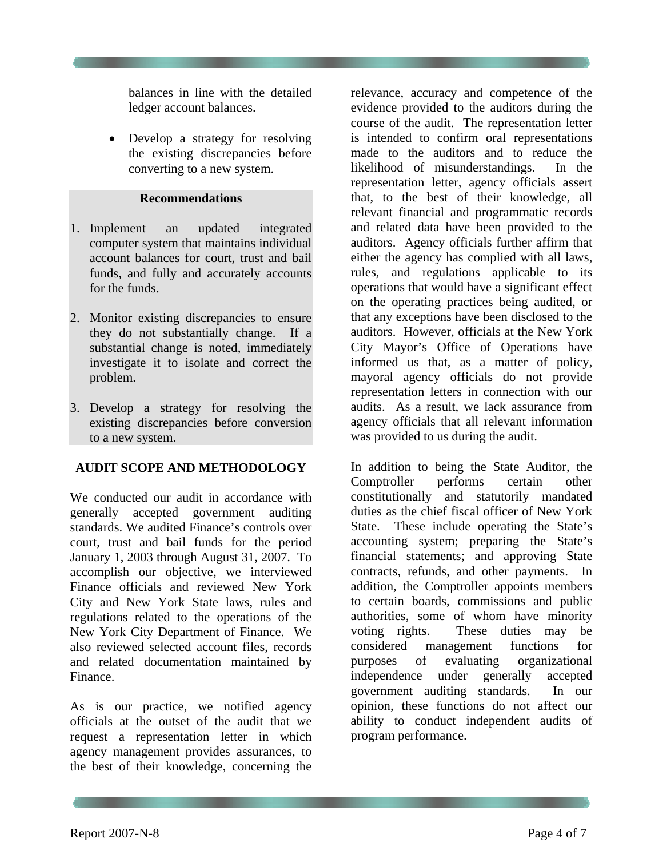balances in line with the detailed ledger account balances.

• Develop a strategy for resolving the existing discrepancies before converting to a new system.

#### **Recommendations**

- 1. Implement an updated integrated computer system that maintains individual account balances for court, trust and bail funds, and fully and accurately accounts for the funds.
- 2. Monitor existing discrepancies to ensure they do not substantially change. If a substantial change is noted, immediately investigate it to isolate and correct the problem.
- 3. Develop a strategy for resolving the existing discrepancies before conversion to a new system.

### **AUDIT SCOPE AND METHODOLOGY**

We conducted our audit in accordance with generally accepted government auditing standards. We audited Finance's controls over court, trust and bail funds for the period January 1, 2003 through August 31, 2007. To accomplish our objective, we interviewed Finance officials and reviewed New York City and New York State laws, rules and regulations related to the operations of the New York City Department of Finance. We also reviewed selected account files, records and related documentation maintained by Finance.

As is our practice, we notified agency officials at the outset of the audit that we request a representation letter in which agency management provides assurances, to the best of their knowledge, concerning the

relevance, accuracy and competence of the evidence provided to the auditors during the course of the audit. The representation letter is intended to confirm oral representations made to the auditors and to reduce the likelihood of misunderstandings. In the representation letter, agency officials assert that, to the best of their knowledge, all relevant financial and programmatic records and related data have been provided to the auditors. Agency officials further affirm that either the agency has complied with all laws, rules, and regulations applicable to its operations that would have a significant effect on the operating practices being audited, or that any exceptions have been disclosed to the auditors. However, officials at the New York City Mayor's Office of Operations have informed us that, as a matter of policy, mayoral agency officials do not provide representation letters in connection with our audits. As a result, we lack assurance from agency officials that all relevant information was provided to us during the audit.

In addition to being the State Auditor, the Comptroller performs certain other constitutionally and statutorily mandated duties as the chief fiscal officer of New York State. These include operating the State's accounting system; preparing the State's financial statements; and approving State contracts, refunds, and other payments. In addition, the Comptroller appoints members to certain boards, commissions and public authorities, some of whom have minority voting rights. These duties may be considered management functions for purposes of evaluating organizational independence under generally accepted government auditing standards. In our opinion, these functions do not affect our ability to conduct independent audits of program performance.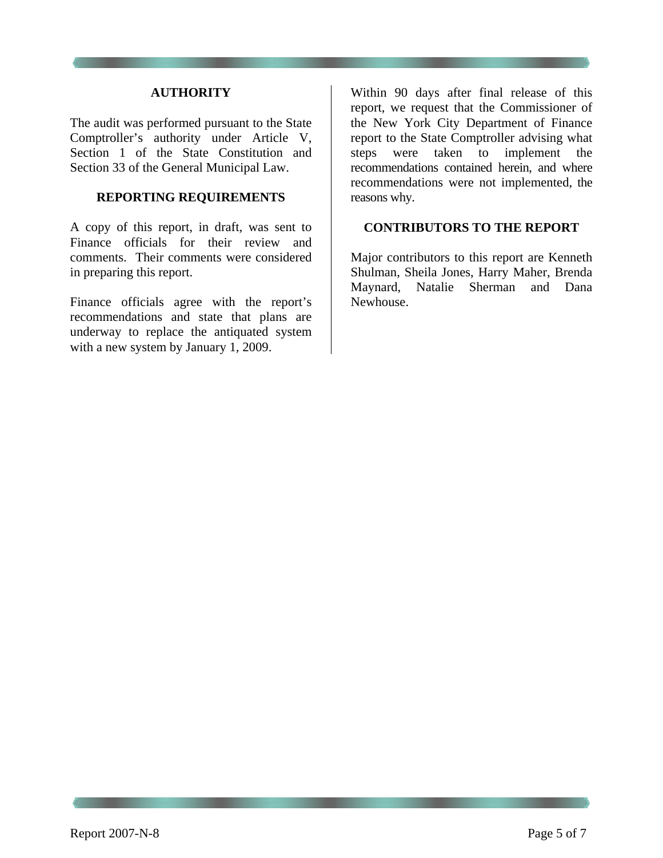#### **AUTHORITY**

The audit was performed pursuant to the State Comptroller's authority under Article V, Section 1 of the State Constitution and Section 33 of the General Municipal Law.

#### **REPORTING REQUIREMENTS**

A copy of this report, in draft, was sent to Finance officials for their review and comments. Their comments were considered in preparing this report.

Finance officials agree with the report's recommendations and state that plans are underway to replace the antiquated system with a new system by January 1, 2009.

Within 90 days after final release of this report, we request that the Commissioner of the New York City Department of Finance report to the State Comptroller advising what steps were taken to implement the recommendations contained herein, and where recommendations were not implemented, the reasons why.

### **CONTRIBUTORS TO THE REPORT**

Major contributors to this report are Kenneth Shulman, Sheila Jones, Harry Maher, Brenda Maynard, Natalie Sherman and Dana Newhouse.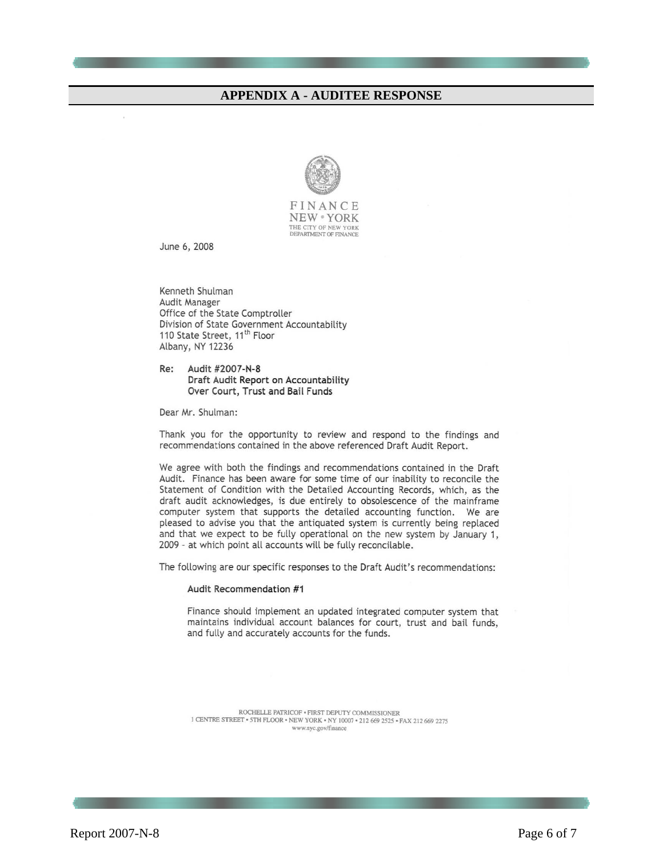#### **APPENDIX A - AUDITEE RESPONSE**



FINANCE **NEW** • YORK THE CITY OF NEW YORK DEPARTMENT OF FINANCE

June 6, 2008

Kenneth Shulman Audit Manager Office of the State Comptroller Division of State Government Accountability 110 State Street, 11<sup>th</sup> Floor Albany, NY 12236

Audit #2007-N-8 Re: Draft Audit Report on Accountability Over Court, Trust and Bail Funds

Dear Mr. Shulman:

Thank you for the opportunity to review and respond to the findings and recommendations contained in the above referenced Draft Audit Report.

We agree with both the findings and recommendations contained in the Draft Audit. Finance has been aware for some time of our inability to reconcile the Statement of Condition with the Detailed Accounting Records, which, as the draft audit acknowledges, is due entirely to obsolescence of the mainframe computer system that supports the detailed accounting function. We are pleased to advise you that the antiquated system is currently being replaced and that we expect to be fully operational on the new system by January 1, 2009 - at which point all accounts will be fully reconcilable.

The following are our specific responses to the Draft Audit's recommendations:

#### Audit Recommendation #1

Finance should implement an updated integrated computer system that maintains individual account balances for court, trust and bail funds, and fully and accurately accounts for the funds.

 $\begin{array}{c} \text{ROCHELLE PATRICOF}\ast\text{FIRST DEPUT} \text{COMMISSIONER}\\ 1\text{ CENTRE STREET}\ast\text{STH FLOOR}\ast\text{NEW YORK}\ast\text{NY} \text{ 10007}\ast\text{ 212}\text{ 669}\text{ 2525}\ast\text{FAX} \text{ 212}\text{ 669}\text{ 2275} \end{array}$ www.nyc.gov/finance